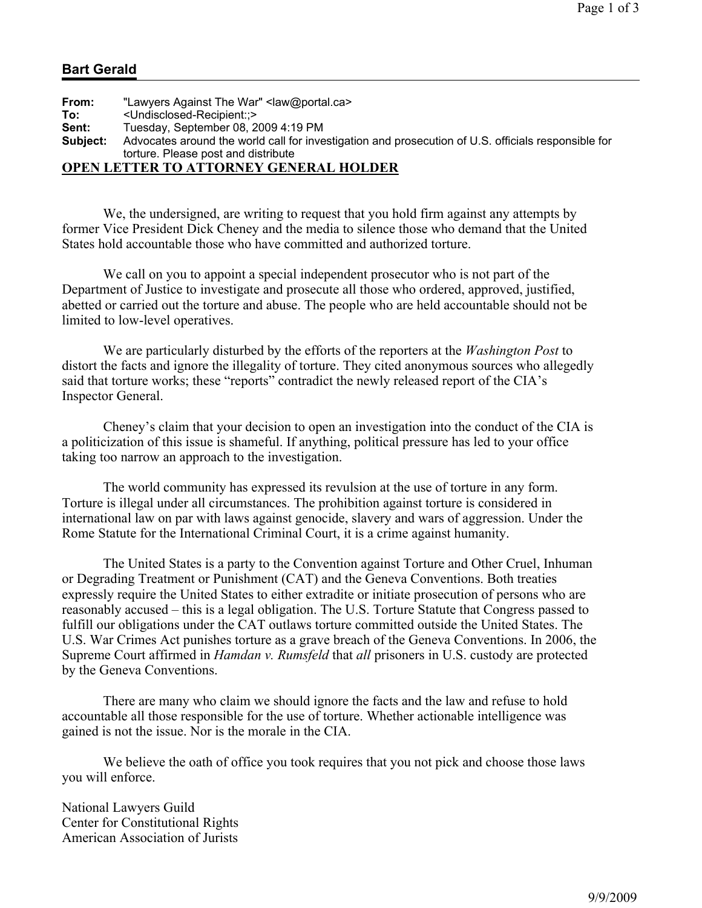## **Bart Gerald**

| From:    | "Lawyers Against The War" <law@portal.ca></law@portal.ca>                                           |
|----------|-----------------------------------------------------------------------------------------------------|
| To:      | <undisclosed-recipient::></undisclosed-recipient::>                                                 |
| Sent:    | Tuesday, September 08, 2009 4:19 PM                                                                 |
| Subject: | Advocates around the world call for investigation and prosecution of U.S. officials responsible for |
|          | torture. Please post and distribute                                                                 |
|          | ADEN I ETTED TA ATTADNEV ARNED AL HALDED                                                            |

## **OPEN LETTER TO ATTORNEY GENERAL HOLDER**

 We, the undersigned, are writing to request that you hold firm against any attempts by former Vice President Dick Cheney and the media to silence those who demand that the United States hold accountable those who have committed and authorized torture.

We call on you to appoint a special independent prosecutor who is not part of the Department of Justice to investigate and prosecute all those who ordered, approved, justified, abetted or carried out the torture and abuse. The people who are held accountable should not be limited to low-level operatives.

 We are particularly disturbed by the efforts of the reporters at the *Washington Post* to distort the facts and ignore the illegality of torture. They cited anonymous sources who allegedly said that torture works; these "reports" contradict the newly released report of the CIA's Inspector General.

 Cheney's claim that your decision to open an investigation into the conduct of the CIA is a politicization of this issue is shameful. If anything, political pressure has led to your office taking too narrow an approach to the investigation.

 The world community has expressed its revulsion at the use of torture in any form. Torture is illegal under all circumstances. The prohibition against torture is considered in international law on par with laws against genocide, slavery and wars of aggression. Under the Rome Statute for the International Criminal Court, it is a crime against humanity.

 The United States is a party to the Convention against Torture and Other Cruel, Inhuman or Degrading Treatment or Punishment (CAT) and the Geneva Conventions. Both treaties expressly require the United States to either extradite or initiate prosecution of persons who are reasonably accused – this is a legal obligation. The U.S. Torture Statute that Congress passed to fulfill our obligations under the CAT outlaws torture committed outside the United States. The U.S. War Crimes Act punishes torture as a grave breach of the Geneva Conventions. In 2006, the Supreme Court affirmed in *Hamdan v. Rumsfeld* that *all* prisoners in U.S. custody are protected by the Geneva Conventions.

 There are many who claim we should ignore the facts and the law and refuse to hold accountable all those responsible for the use of torture. Whether actionable intelligence was gained is not the issue. Nor is the morale in the CIA.

We believe the oath of office you took requires that you not pick and choose those laws you will enforce.

National Lawyers Guild Center for Constitutional Rights American Association of Jurists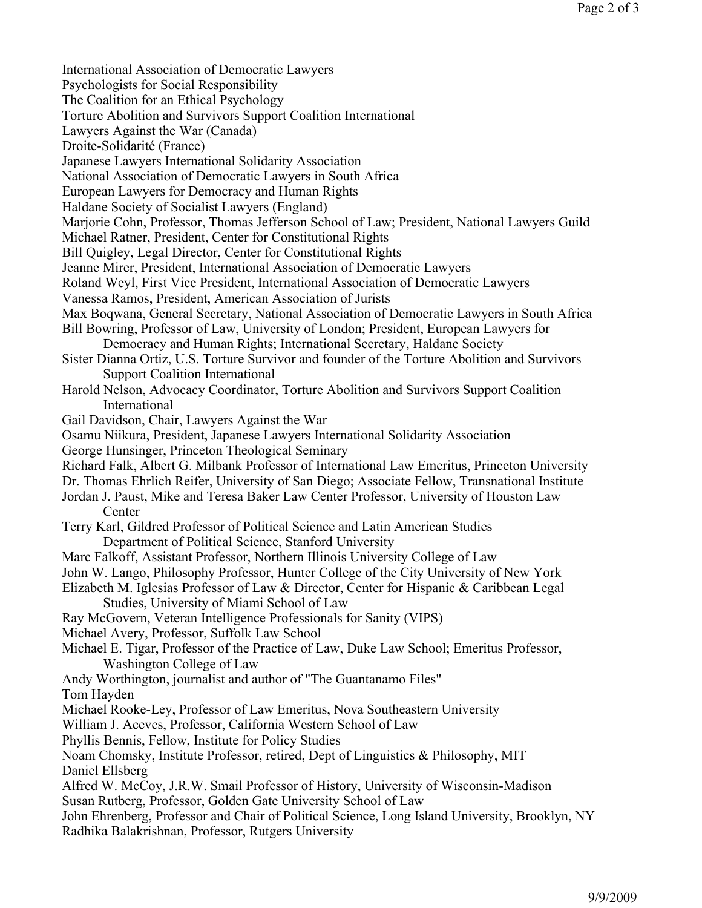International Association of Democratic Lawyers Psychologists for Social Responsibility The Coalition for an Ethical Psychology Torture Abolition and Survivors Support Coalition International Lawyers Against the War (Canada) Droite-Solidarité (France) Japanese Lawyers International Solidarity Association National Association of Democratic Lawyers in South Africa European Lawyers for Democracy and Human Rights Haldane Society of Socialist Lawyers (England) Marjorie Cohn, Professor, Thomas Jefferson School of Law; President, National Lawyers Guild Michael Ratner, President, Center for Constitutional Rights Bill Quigley, Legal Director, Center for Constitutional Rights Jeanne Mirer, President, International Association of Democratic Lawyers Roland Weyl, First Vice President, International Association of Democratic Lawyers Vanessa Ramos, President, American Association of Jurists Max Boqwana, General Secretary, National Association of Democratic Lawyers in South Africa Bill Bowring, Professor of Law, University of London; President, European Lawyers for Democracy and Human Rights; International Secretary, Haldane Society Sister Dianna Ortiz, U.S. Torture Survivor and founder of the Torture Abolition and Survivors Support Coalition International Harold Nelson, Advocacy Coordinator, Torture Abolition and Survivors Support Coalition International Gail Davidson, Chair, Lawyers Against the War Osamu Niikura, President, Japanese Lawyers International Solidarity Association George Hunsinger, Princeton Theological Seminary Richard Falk, Albert G. Milbank Professor of International Law Emeritus, Princeton University Dr. Thomas Ehrlich Reifer, University of San Diego; Associate Fellow, Transnational Institute Jordan J. Paust, Mike and Teresa Baker Law Center Professor, University of Houston Law **Center** Terry Karl, Gildred Professor of Political Science and Latin American Studies Department of Political Science, Stanford University Marc Falkoff, Assistant Professor, Northern Illinois University College of Law John W. Lango, Philosophy Professor, Hunter College of the City University of New York Elizabeth M. Iglesias Professor of Law & Director, Center for Hispanic & Caribbean Legal Studies, University of Miami School of Law Ray McGovern, Veteran Intelligence Professionals for Sanity (VIPS) Michael Avery, Professor, Suffolk Law School Michael E. Tigar, Professor of the Practice of Law, Duke Law School; Emeritus Professor, Washington College of Law Andy Worthington, journalist and author of "The Guantanamo Files" Tom Hayden Michael Rooke-Ley, Professor of Law Emeritus, Nova Southeastern University William J. Aceves, Professor, California Western School of Law Phyllis Bennis, Fellow, Institute for Policy Studies Noam Chomsky, Institute Professor, retired, Dept of Linguistics & Philosophy, MIT Daniel Ellsberg Alfred W. McCoy, J.R.W. Smail Professor of History, University of Wisconsin-Madison Susan Rutberg, Professor, Golden Gate University School of Law John Ehrenberg, Professor and Chair of Political Science, Long Island University, Brooklyn, NY Radhika Balakrishnan, Professor, Rutgers University